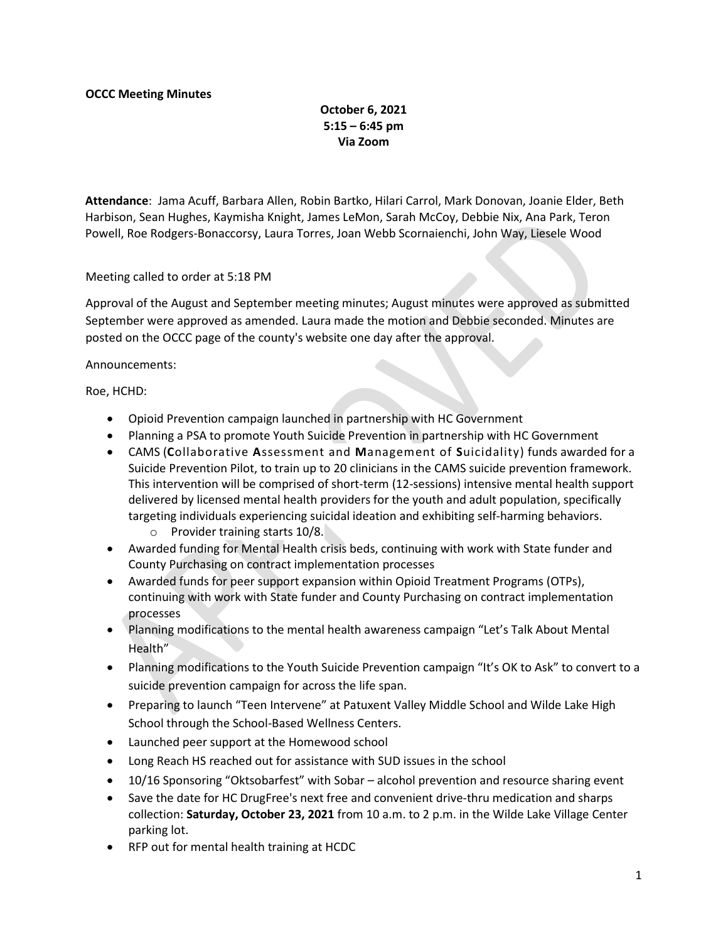## October 6, 2021 5:15 – 6:45 pm Via Zoom

Attendance: Jama Acuff, Barbara Allen, Robin Bartko, Hilari Carrol, Mark Donovan, Joanie Elder, Beth Harbison, Sean Hughes, Kaymisha Knight, James LeMon, Sarah McCoy, Debbie Nix, Ana Park, Teron Powell, Roe Rodgers-Bonaccorsy, Laura Torres, Joan Webb Scornaienchi, John Way, Liesele Wood

Meeting called to order at 5:18 PM

Approval of the August and September meeting minutes; August minutes were approved as submitted September were approved as amended. Laura made the motion and Debbie seconded. Minutes are posted on the OCCC page of the county's website one day after the approval.

## Announcements:

Roe, HCHD:

- Opioid Prevention campaign launched in partnership with HC Government
- Planning a PSA to promote Youth Suicide Prevention in partnership with HC Government
- CAMS (Collaborative Assessment and Management of Suicidality) funds awarded for a Suicide Prevention Pilot, to train up to 20 clinicians in the CAMS suicide prevention framework. This intervention will be comprised of short-term (12-sessions) intensive mental health support delivered by licensed mental health providers for the youth and adult population, specifically targeting individuals experiencing suicidal ideation and exhibiting self-harming behaviors.
	- o Provider training starts 10/8.
- Awarded funding for Mental Health crisis beds, continuing with work with State funder and County Purchasing on contract implementation processes
- Awarded funds for peer support expansion within Opioid Treatment Programs (OTPs), continuing with work with State funder and County Purchasing on contract implementation processes
- Planning modifications to the mental health awareness campaign "Let's Talk About Mental Health"
- Planning modifications to the Youth Suicide Prevention campaign "It's OK to Ask" to convert to a suicide prevention campaign for across the life span.
- Preparing to launch "Teen Intervene" at Patuxent Valley Middle School and Wilde Lake High School through the School-Based Wellness Centers.
- Launched peer support at the Homewood school
- Long Reach HS reached out for assistance with SUD issues in the school
- 10/16 Sponsoring "Oktsobarfest" with Sobar alcohol prevention and resource sharing event
- Save the date for HC DrugFree's next free and convenient drive-thru medication and sharps collection: Saturday, October 23, 2021 from 10 a.m. to 2 p.m. in the Wilde Lake Village Center parking lot.
- RFP out for mental health training at HCDC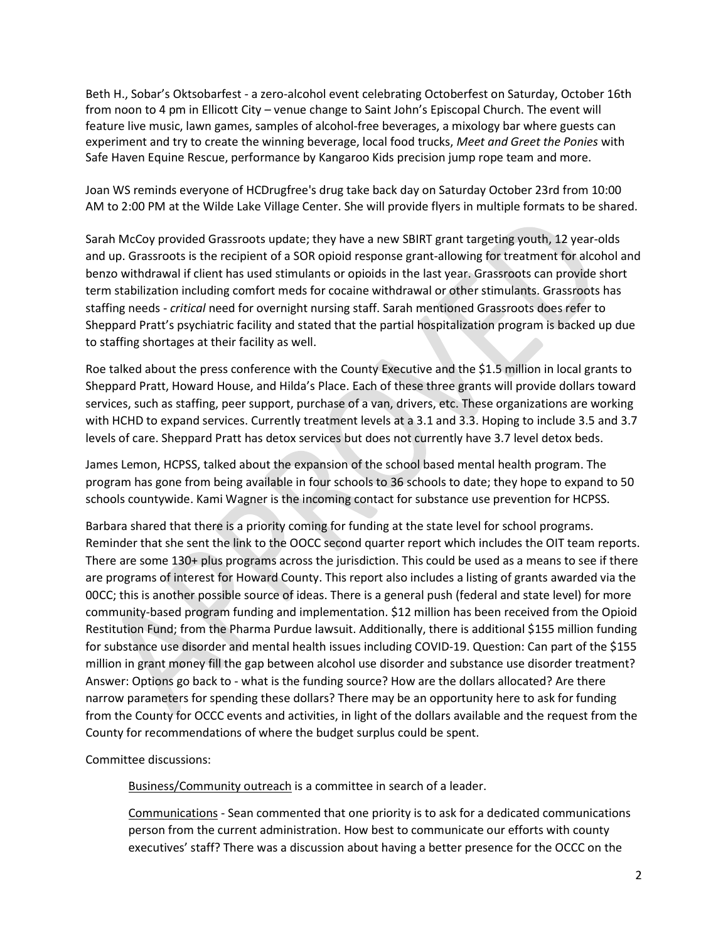Beth H., Sobar's Oktsobarfest - a zero-alcohol event celebrating Octoberfest on Saturday, October 16th from noon to 4 pm in Ellicott City – venue change to Saint John's Episcopal Church. The event will feature live music, lawn games, samples of alcohol-free beverages, a mixology bar where guests can experiment and try to create the winning beverage, local food trucks, Meet and Greet the Ponies with Safe Haven Equine Rescue, performance by Kangaroo Kids precision jump rope team and more.

Joan WS reminds everyone of HCDrugfree's drug take back day on Saturday October 23rd from 10:00 AM to 2:00 PM at the Wilde Lake Village Center. She will provide flyers in multiple formats to be shared.

Sarah McCoy provided Grassroots update; they have a new SBIRT grant targeting youth, 12 year-olds and up. Grassroots is the recipient of a SOR opioid response grant-allowing for treatment for alcohol and benzo withdrawal if client has used stimulants or opioids in the last year. Grassroots can provide short term stabilization including comfort meds for cocaine withdrawal or other stimulants. Grassroots has staffing needs - critical need for overnight nursing staff. Sarah mentioned Grassroots does refer to Sheppard Pratt's psychiatric facility and stated that the partial hospitalization program is backed up due to staffing shortages at their facility as well.

Roe talked about the press conference with the County Executive and the \$1.5 million in local grants to Sheppard Pratt, Howard House, and Hilda's Place. Each of these three grants will provide dollars toward services, such as staffing, peer support, purchase of a van, drivers, etc. These organizations are working with HCHD to expand services. Currently treatment levels at a 3.1 and 3.3. Hoping to include 3.5 and 3.7 levels of care. Sheppard Pratt has detox services but does not currently have 3.7 level detox beds.

James Lemon, HCPSS, talked about the expansion of the school based mental health program. The program has gone from being available in four schools to 36 schools to date; they hope to expand to 50 schools countywide. Kami Wagner is the incoming contact for substance use prevention for HCPSS.

Barbara shared that there is a priority coming for funding at the state level for school programs. Reminder that she sent the link to the OOCC second quarter report which includes the OIT team reports. There are some 130+ plus programs across the jurisdiction. This could be used as a means to see if there are programs of interest for Howard County. This report also includes a listing of grants awarded via the 00CC; this is another possible source of ideas. There is a general push (federal and state level) for more community-based program funding and implementation. \$12 million has been received from the Opioid Restitution Fund; from the Pharma Purdue lawsuit. Additionally, there is additional \$155 million funding for substance use disorder and mental health issues including COVID-19. Question: Can part of the \$155 million in grant money fill the gap between alcohol use disorder and substance use disorder treatment? Answer: Options go back to - what is the funding source? How are the dollars allocated? Are there narrow parameters for spending these dollars? There may be an opportunity here to ask for funding from the County for OCCC events and activities, in light of the dollars available and the request from the County for recommendations of where the budget surplus could be spent.

Committee discussions:

Business/Community outreach is a committee in search of a leader.

Communications - Sean commented that one priority is to ask for a dedicated communications person from the current administration. How best to communicate our efforts with county executives' staff? There was a discussion about having a better presence for the OCCC on the